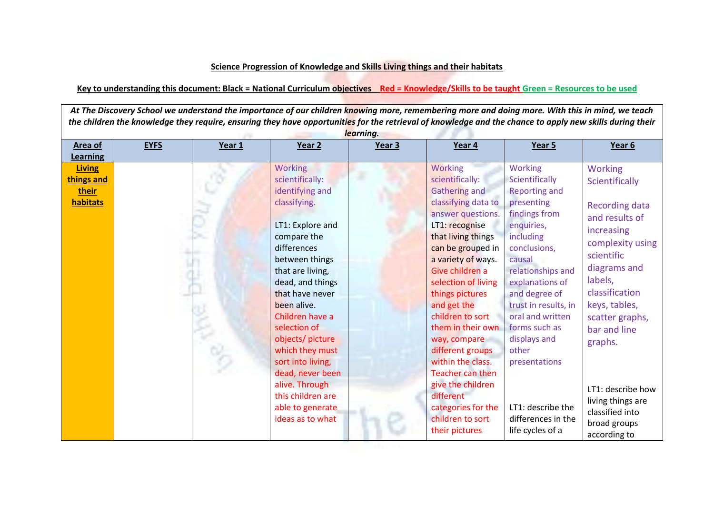## **Science Progression of Knowledge and Skills Living things and their habitats**

## **Key to understanding this document: Black = National Curriculum objectives Red = Knowledge/Skills to be taught Green = Resources to be used**

At The Discovery School we understand the importance of our children knowing more, remembering more and doing more. With this in mind, we teach *the children the knowledge they require, ensuring they have opportunities for the retrieval of knowledge and the chance to apply new skills during their learning.*

| Area of<br>Learning                              | <b>EYFS</b> | Year 1 | Year 2                                                                                                                                                                                                                                                                                                                                                                                                               | Year 3 | Year 4                                                                                                                                                                                                                                                                                                                                                                                                                                                                            | Year 5                                                                                                                                                                                                                                                                                                                                                               | Year 6                                                                                                                                                                                                                                                                                                                               |
|--------------------------------------------------|-------------|--------|----------------------------------------------------------------------------------------------------------------------------------------------------------------------------------------------------------------------------------------------------------------------------------------------------------------------------------------------------------------------------------------------------------------------|--------|-----------------------------------------------------------------------------------------------------------------------------------------------------------------------------------------------------------------------------------------------------------------------------------------------------------------------------------------------------------------------------------------------------------------------------------------------------------------------------------|----------------------------------------------------------------------------------------------------------------------------------------------------------------------------------------------------------------------------------------------------------------------------------------------------------------------------------------------------------------------|--------------------------------------------------------------------------------------------------------------------------------------------------------------------------------------------------------------------------------------------------------------------------------------------------------------------------------------|
| <b>Living</b><br>things and<br>their<br>habitats |             |        | <b>Working</b><br>scientifically:<br>identifying and<br>classifying.<br>LT1: Explore and<br>compare the<br>differences<br>between things<br>that are living,<br>dead, and things<br>that have never<br>been alive.<br>Children have a<br>selection of<br>objects/ picture<br>which they must<br>sort into living,<br>dead, never been<br>alive. Through<br>this children are<br>able to generate<br>ideas as to what |        | Working<br>scientifically:<br><b>Gathering and</b><br>classifying data to<br>answer questions.<br>LT1: recognise<br>that living things<br>can be grouped in<br>a variety of ways.<br>Give children a<br>selection of living<br>things pictures<br>and get the<br>children to sort<br>them in their own<br>way, compare<br>different groups<br>within the class.<br>Teacher can then<br>give the children<br>different<br>categories for the<br>children to sort<br>their pictures | Working<br>Scientifically<br><b>Reporting and</b><br>presenting<br>findings from<br>enquiries,<br>including<br>conclusions,<br>causal<br>relationships and<br>explanations of<br>and degree of<br>trust in results, in<br>oral and written<br>forms such as<br>displays and<br>other<br>presentations<br>LT1: describe the<br>differences in the<br>life cycles of a | <b>Working</b><br>Scientifically<br><b>Recording data</b><br>and results of<br>increasing<br>complexity using<br>scientific<br>diagrams and<br>labels,<br>classification<br>keys, tables,<br>scatter graphs,<br>bar and line<br>graphs.<br>LT1: describe how<br>living things are<br>classified into<br>broad groups<br>according to |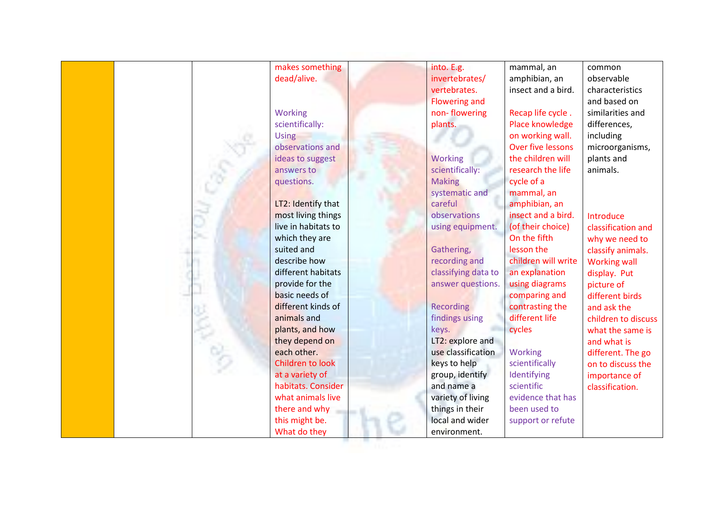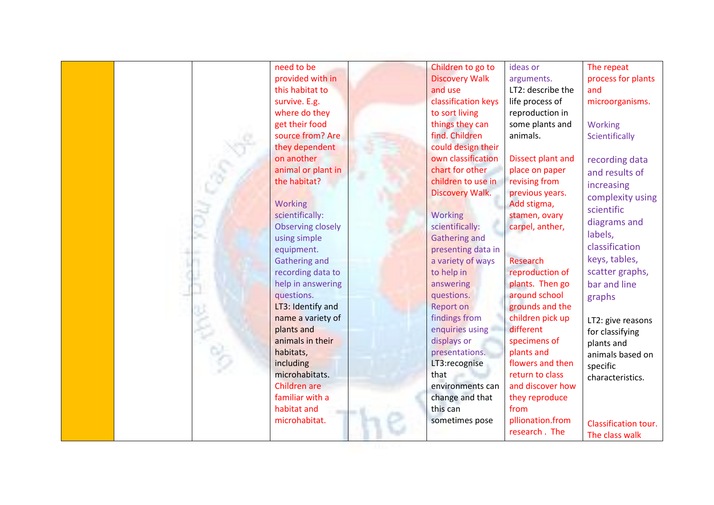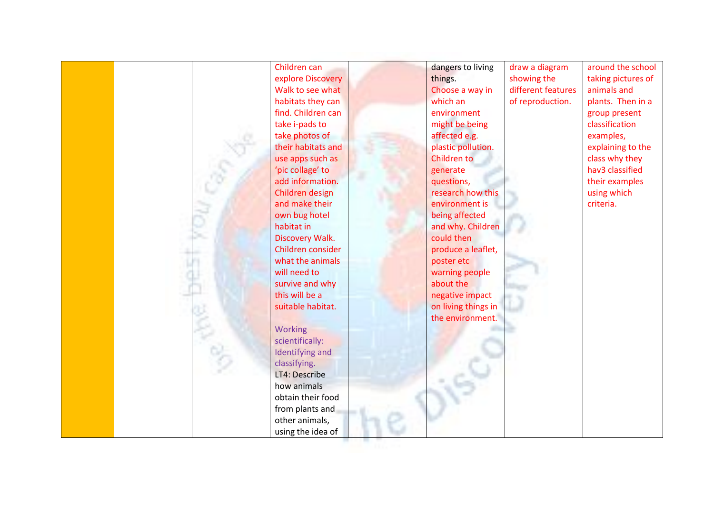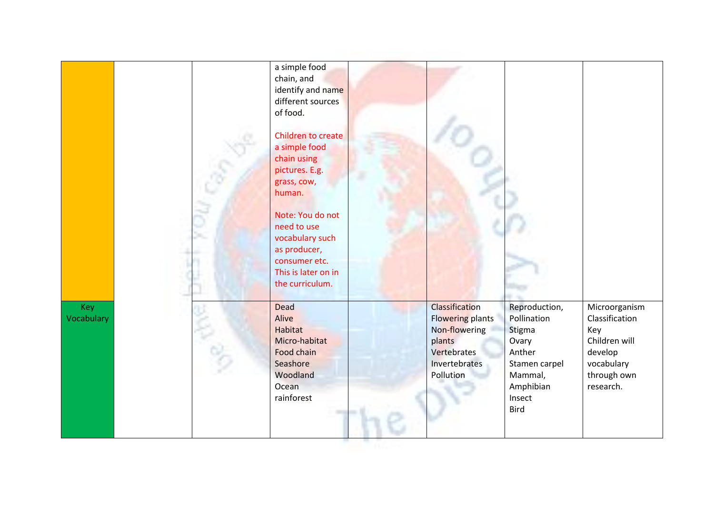